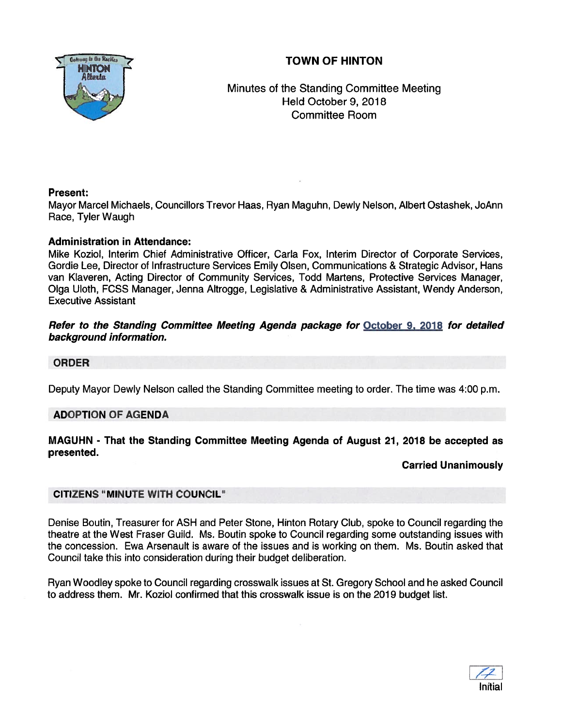# TOWN OF HINTON



Minutes of the Standing Committee Meeting Held October 9, 2018 Committee Room

## Present:

Mayor Marcel Michaels, Councillors Trevor Haas, Ryan Maguhn, Dewly Nelson, Albert Ostashek, JoAnn Race, Tyler Waugh

## Administration in Attendance:

Mike Koziol, Interim Chief Administrative Officer, Carla Fox, Interim Director of Corporate Services, Gordie Lee, Director of Infrastructure Services Emily Olsen, Communications & Strategic Advisor, Hans van Klaveren, Acting Director of Community Services, Todd Martens, Protective Services Manager, Olga Uloth, FCSS Manager, Jenna Altrogge, Legislative & Administrative Assistant, Wendy Anderson, Executive Assistant

## Refer to the Standing Committee Meeting Agenda package for October 9. 2078 for detailed background information.

## ORDER

Deputy Mayor Dewly Nelson called the Standing Committee meeting to order. The time was 4:00 p.m.

## ADOPTION OF AGENDA

### MAGUHN - That the Standing Committee Meeting Agenda of August 21, 2018 be accepted as presented.

#### Carried Unanimously

## CITIZENS "MINUTE WITH COUNCIL"

Denise Boutin, Treasurer for ASH and Peter Stone, Hinton Rotary Club, spoke to Council regarding the theatre at the West Fraser Guild. Ms. Boutin spoke to Council regarding some outstanding issues with the concession. Ewa Arsenault is aware of the issues and is working on them. Ms. Boutin asked that Council take this into consideration during their budget deliberation.

Ryan Woodley spoke to Council regarding crosswalk issues at St. Gregory School and he asked Council to address them. Mr. Koziol confirmed that this crosswalk issue is on the 2019 budget list.

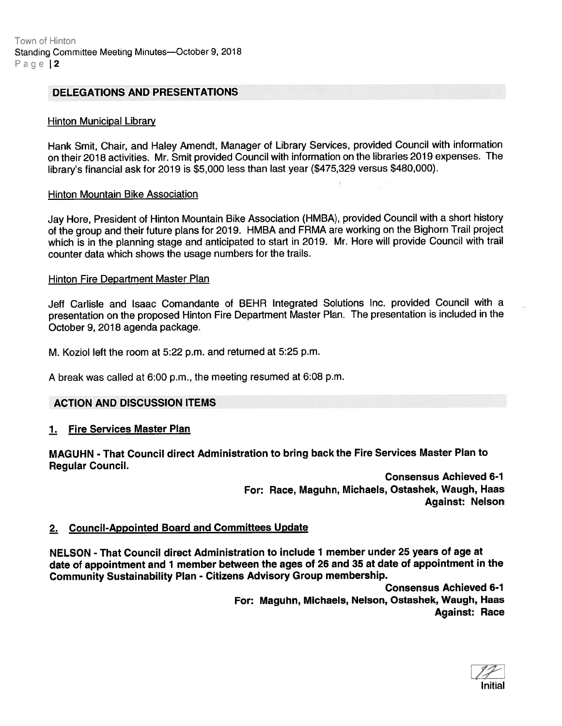#### DELEGATIONS AND PRESENTATIONS

#### Hinton Municipal Library

Hank Smit, Chair, and Haley Amendt, Manager of Library Services, provided Council with information on their <sup>2018</sup> activities. Mr. Smit provided Council with information on the libraries <sup>2019</sup> expenses. The library's financial ask for <sup>2019</sup> is \$5,000 less than last year (\$475,329 versus \$480,000).

#### Hinton Mountain Bike Association

Jay Hore, President of Hinton Mountain Bike Association (HMBA), provided Council with <sup>a</sup> short history of the group and their future <sup>p</sup>lans for 2019. HMBA and FRMA are working on the Bighorn Trail project which is in the <sup>p</sup>lanning stage and anticipated to start in 2019. Mr. Hore will provide Council with trail counter data which shows the usage numbers for the trails.

#### Hinton Fire Department Master Plan

Jeff Carlisle and Isaac Comandante of BEHR Integrated Solutions Inc. provided Council with <sup>a</sup> presentation on the propose<sup>d</sup> Hinton Fire Department Master Plan. The presentation is included in the October 9, 2018 agenda package.

M. Koziol left the room at 5:22 p.m. and returned at 5:25 p.m.

A break was called at 6:00 p.m., the meeting resumed at 6:08 p.m.

#### ACTION AND DISCUSSION ITEMS

#### 1. Fire Services Master Plan

MAGUHN - That Council direct Administration to bring back the Fire Services Master Plan to Regular Council.

> Consensus Achieved 6-1 For: Race, Maguhn, Michaels, Ostashek, Waugh, Haas Against: Nelson

### 2. Council-Appointed Board and Committees Update

NELSON - That Council direct Administration to include 1 member under 25 years of age at date of appointment and <sup>1</sup> member between the ages of <sup>26</sup> and <sup>35</sup> at date of appointment in the Community Sustainability Plan - Citizens Advisory Group membership.

> Consensus Achieved 6-1 For: Maguhn, Michaels, Nelson, Ostashek, Waugh, Haas Against: Race

Initial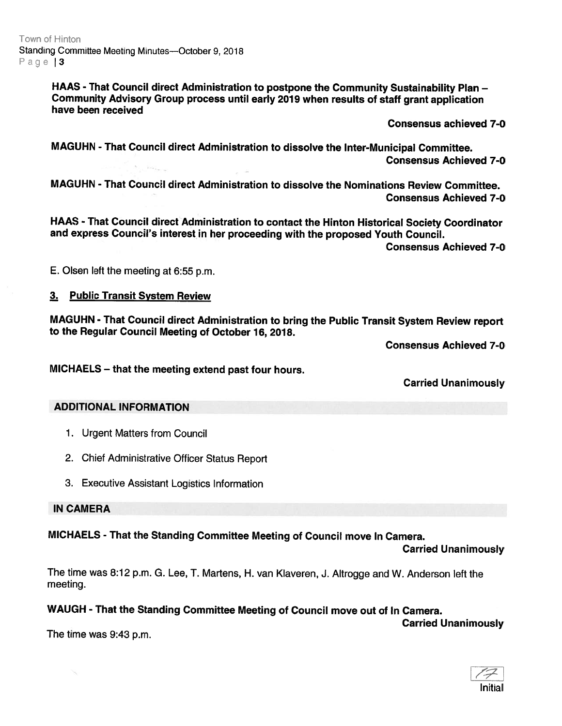HAAS - That Council direct Administration to postpone the Community Sustainability Plan — Community Advisory Group process until early <sup>2019</sup> when results of staff gran<sup>t</sup> application have been received

Consensus achieved 7-0

MAGUHN - That Council direct Administration to dissolve the Inter-Municipal Committee. Consensus Achieved 7-0

MAGUHN - That CouncI direct Administration to dissolve the Nominations Review Committee. Consensus Achieved 7-0

HAAS - That Council direct Administration to contact the Hinton Historical Society Coordinator and express Council's interest in her proceeding with the proposed Youth Council.

Consensus Achieved 7-0

E. Olsen left the meeting at 6:55 p.m.

## 3. Public Transit System Review

MAGUHN - That Council direct Administration to bring the Public Transit System Review report to the Regular Council Meeting of October 16, 2018.

Consensus Achieved 7-0

MICHAELS — that the meeting extend past four hours.

Carried Unanimously

#### ADDITIONAL INFORMATION

- 1. Urgent Matters from Council
- 2. Chief Administrative Officer Status Report
- 3. Executive Assistant Logistics Information

IN CAMERA

MICHAELS - That the Standing Committee Meeting of Council move In Camera.

Carried Unanimously

Carried Unanimously

The time was 8:12 p.m. G. Lee, T. Martens, H. van Klaveren, J. Altrogge and W. Anderson left the meeting.

## WAUGH - That the Standing Committee Meeting of Council move out of In Camera.

The time was 9:43 p.m.